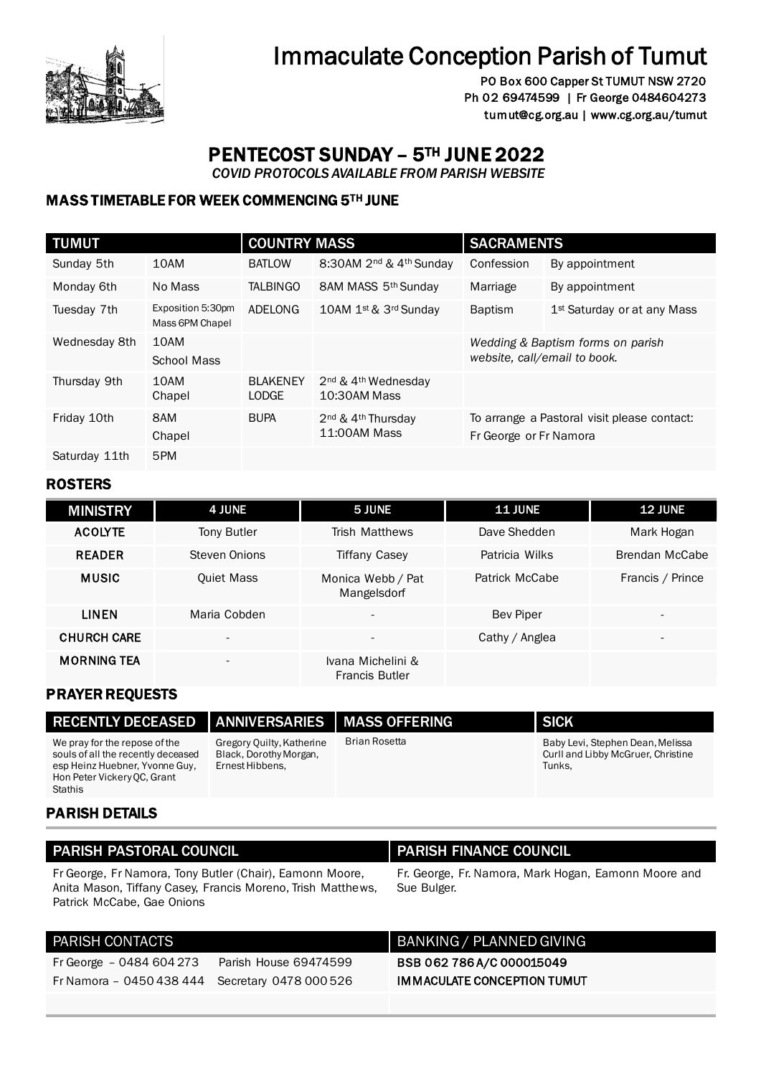

# Immaculate Conception Parish of Tumut

PO Box 600 Capper St TUMUT NSW 2720 Ph 02 69474599 | Fr George 0484604273 tumut@cg.org.au | www.cg.org.au/tumut

## PENTECOST SUNDAY – 5TH JUNE 2022

 *COVID PROTOCOLS AVAILABLE FROM PARISH WEBSITE* 

### MASS TIMETABLE FOR WEEK COMMENCING 5TH JUNE

| <b>TUMUT</b>  |                                      | <b>COUNTRY MASS</b> |                                                            | <b>SACRAMENTS</b>                           |                                         |
|---------------|--------------------------------------|---------------------|------------------------------------------------------------|---------------------------------------------|-----------------------------------------|
| Sunday 5th    | 10AM                                 | <b>BATLOW</b>       | 8:30AM 2 <sup>nd</sup> & 4 <sup>th</sup> Sunday            | Confession                                  | By appointment                          |
| Monday 6th    | No Mass                              | <b>TALBINGO</b>     | 8AM MASS 5th Sunday                                        | Marriage                                    | By appointment                          |
| Tuesday 7th   | Exposition 5:30pm<br>Mass 6PM Chapel | ADELONG             | 10AM 1st & 3rd Sunday                                      | <b>Baptism</b>                              | 1 <sup>st</sup> Saturday or at any Mass |
| Wednesday 8th | 10AM                                 |                     |                                                            | Wedding & Baptism forms on parish           |                                         |
|               | School Mass                          |                     |                                                            |                                             | website, call/email to book.            |
| Thursday 9th  | 10AM                                 | <b>BLAKENEY</b>     | 2 <sup>nd</sup> & 4 <sup>th</sup> Wednesday                |                                             |                                         |
|               | Chapel                               | <b>LODGE</b>        | 10:30AM Mass                                               |                                             |                                         |
| Friday 10th   | 8AM                                  | <b>BUPA</b>         | 2 <sup>nd</sup> & 4 <sup>th</sup> Thursdav<br>11:00AM Mass | To arrange a Pastoral visit please contact: |                                         |
|               | Chapel                               |                     |                                                            | Fr George or Fr Namora                      |                                         |
| Saturday 11th | 5PM                                  |                     |                                                            |                                             |                                         |

### ROSTERS

| <b>MINISTRY</b>    | 4 JUNE                   | 5 JUNE                                     | <b>11 JUNE</b>   | <b>12 JUNE</b>           |
|--------------------|--------------------------|--------------------------------------------|------------------|--------------------------|
| <b>ACOLYTE</b>     | Tony Butler              | <b>Trish Matthews</b>                      | Dave Shedden     | Mark Hogan               |
| <b>READER</b>      | Steven Onions            | <b>Tiffany Casey</b>                       | Patricia Wilks   | Brendan McCabe           |
| <b>MUSIC</b>       | <b>Quiet Mass</b>        | Monica Webb / Pat<br>Mangelsdorf           | Patrick McCabe   | Francis / Prince         |
| <b>LINEN</b>       | Maria Cobden             | $\overline{\phantom{a}}$                   | <b>Bev Piper</b> | $\overline{\phantom{0}}$ |
| <b>CHURCH CARE</b> | $\overline{\phantom{a}}$ | $\overline{\phantom{a}}$                   | Cathy / Anglea   |                          |
| <b>MORNING TEA</b> | $\overline{\phantom{a}}$ | Ivana Michelini &<br><b>Francis Butler</b> |                  |                          |

### PRAYER REQUESTS

| <b>RECENTLY DECEASED</b>                                                                                                                               | <b>ANNIVERSARIES MASS OFFERING</b>                                     |               | <b>SICK</b>                                                                      |
|--------------------------------------------------------------------------------------------------------------------------------------------------------|------------------------------------------------------------------------|---------------|----------------------------------------------------------------------------------|
| We pray for the repose of the<br>souls of all the recently deceased<br>esp Heinz Huebner, Yvonne Guy,<br>Hon Peter Vickery OC, Grant<br><b>Stathis</b> | Gregory Quilty, Katherine<br>Black, Dorothy Morgan,<br>Ernest Hibbens, | Brian Rosetta | Baby Levi, Stephen Dean, Melissa<br>Curll and Libby McGruer, Christine<br>Tunks, |

### PARISH DETAILS

### PARISH PASTORAL COUNCIL PARISH FINANCE COUNCIL

Fr George, Fr Namora, Tony Butler (Chair), Eamonn Moore, Anita Mason, Tiffany Casey, Francis Moreno, Trish Matthews, Patrick McCabe, Gae Onions

Fr Namora – 0450 438 444 Secretary 0478 000 526

Fr George – 0484 604 273 Parish House 69474599

Fr. George, Fr. Namora, Mark Hogan, Eamonn Moore and Sue Bulger.

### PARISH CONTACTS **BANKING** / PLANNED GIVING

BSB 062 786 A/C 000015049 IMMACULATE CONCEPTION TUMUT